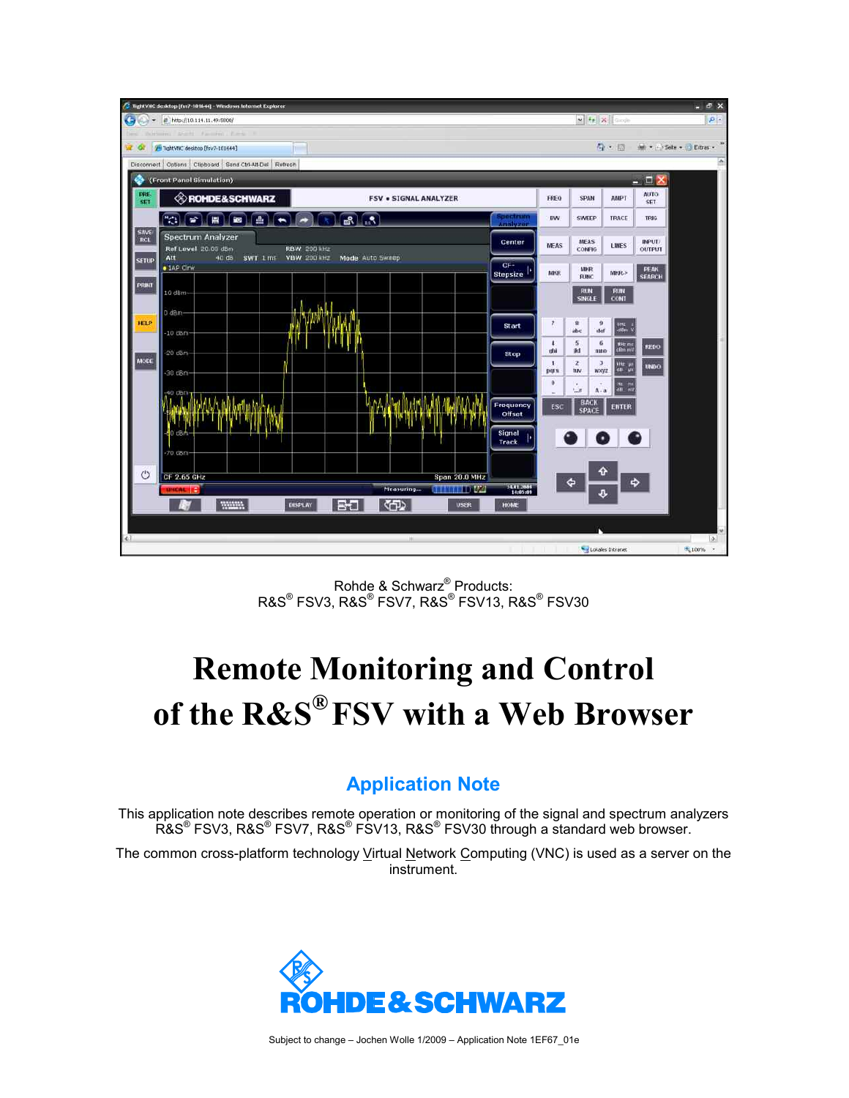

Rohde & Schwarz® Products:  $\mathsf{RAS}^\circledast$  FSV3,  $\mathsf{RAS}^\circledast$  FSV7,  $\mathsf{RAS}^\circledast$  FSV30 FSV30  $\;$ 

# **Remote Monitoring and Control of the R&S® FSV with a Web Browser**

#### **Application Note**

This application note describes remote operation or monitoring of the signal and spectrum analyzers R&S® FSV3, R&S® FSV7, R&S® FSV13, R&S® FSV30 through a standard web browser.

The common cross-platform technology Virtual Network Computing (VNC) is used as a server on the instrument.

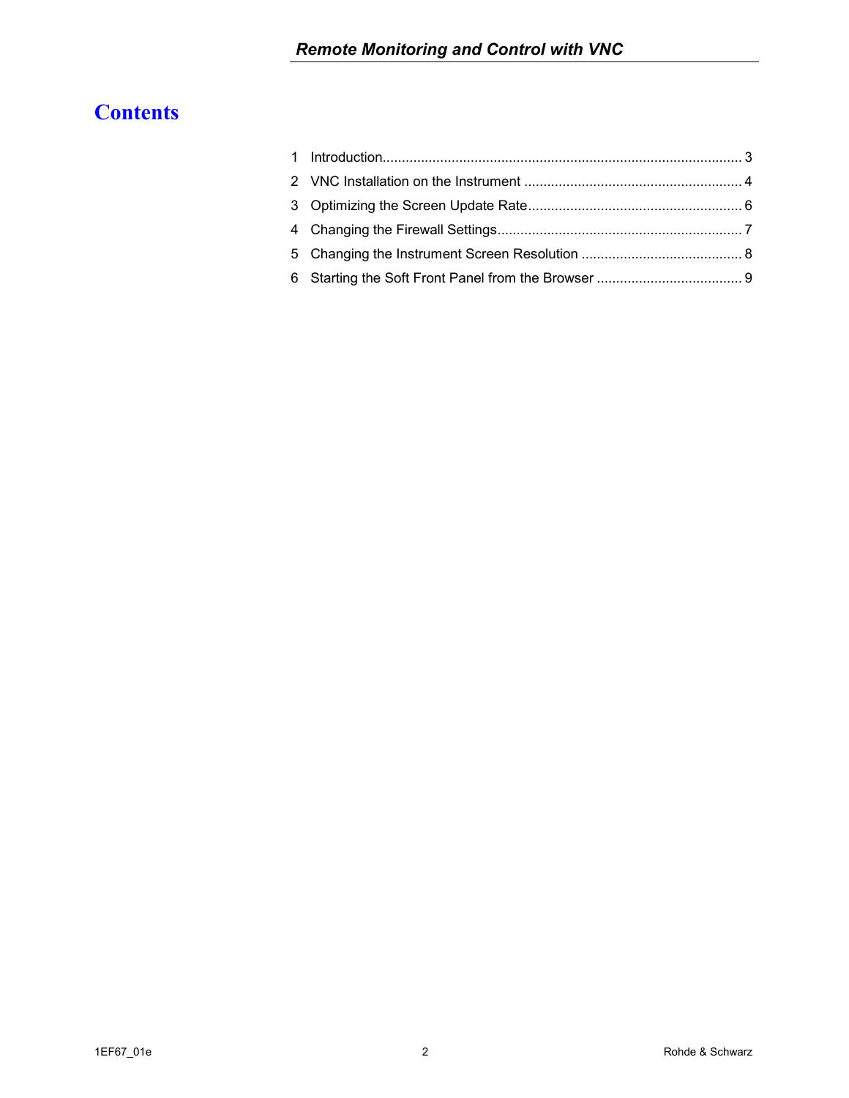## **Contents**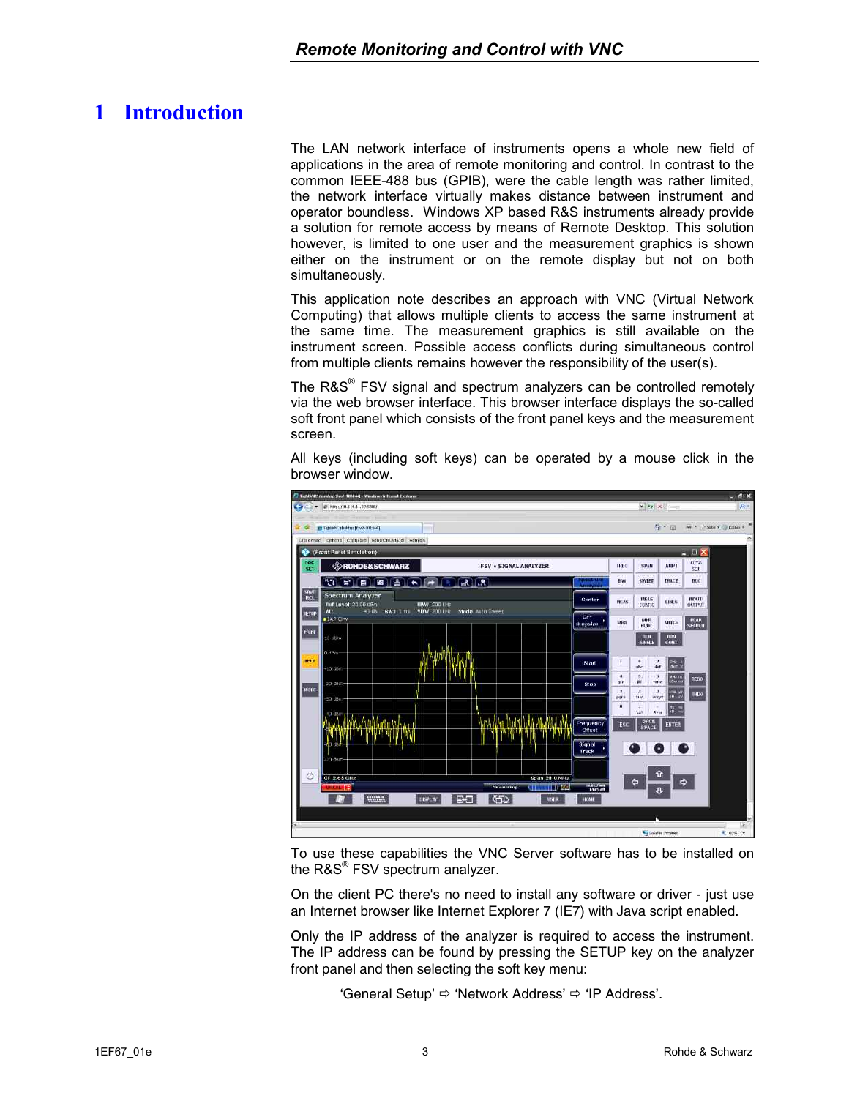## <span id="page-2-0"></span>**1 Introduction**

The LAN network interface of instruments opens a whole new field of applications in the area of remote monitoring and control. In contrast to the common IEEE-488 bus (GPIB), were the cable length was rather limited, the network interface virtually makes distance between instrument and operator boundless. Windows XP based R&S instruments already provide a solution for remote access by means of Remote Desktop. This solution however, is limited to one user and the measurement graphics is shown either on the instrument or on the remote display but not on both simultaneously.

This application note describes an approach with VNC (Virtual Network Computing) that allows multiple clients to access the same instrument at the same time. The measurement graphics is still available on the instrument screen. Possible access conflicts during simultaneous control from multiple clients remains however the responsibility of the user(s).

The R&S<sup>®</sup> FSV signal and spectrum analyzers can be controlled remotely via the web browser interface. This browser interface displays the so-called soft front panel which consists of the front panel keys and the measurement screen.

All keys (including soft keys) can be operated by a mouse click in the browser window.



To use these capabilities the VNC Server software has to be installed on the R&S<sup>®</sup> FSV spectrum analyzer.

On the client PC there's no need to install any software or driver - just use an Internet browser like Internet Explorer 7 (IE7) with Java script enabled.

Only the IP address of the analyzer is required to access the instrument. The IP address can be found by pressing the SETUP key on the analyzer front panel and then selecting the soft key menu:

'General Setup'  $\Rightarrow$  'Network Address'  $\Rightarrow$  'IP Address'.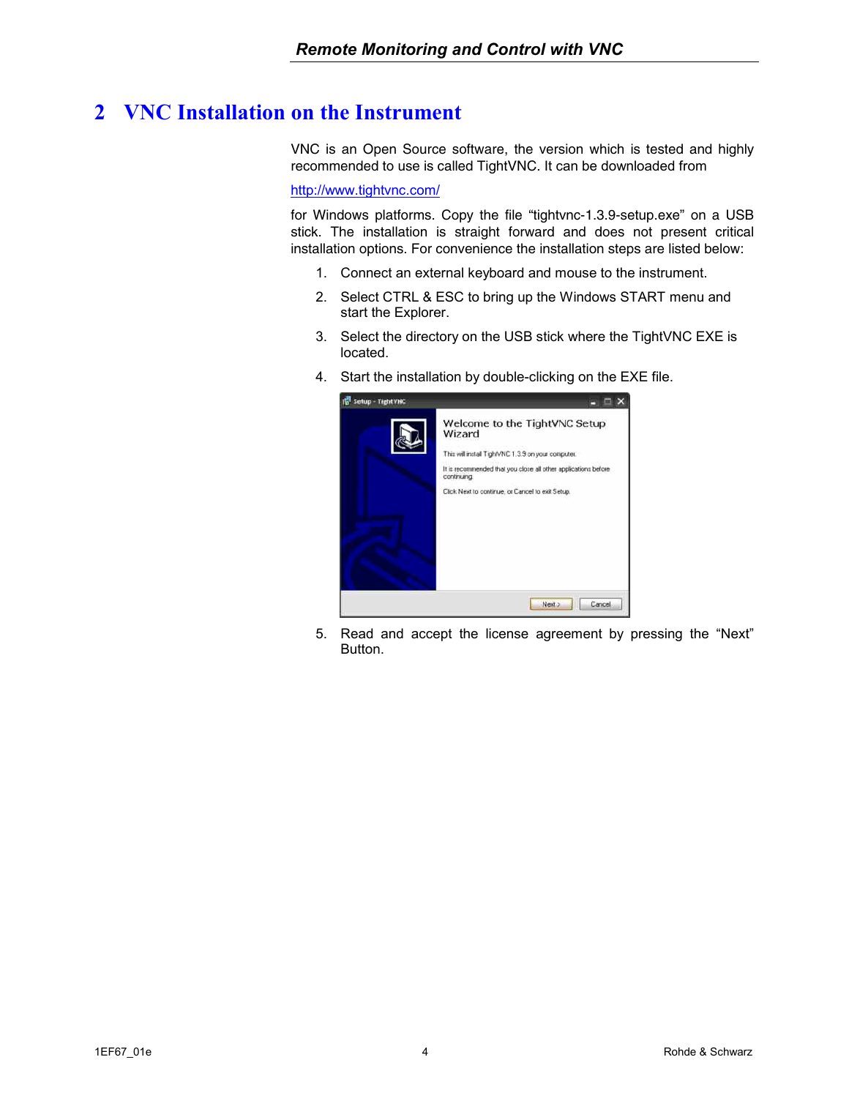## <span id="page-3-0"></span>**2 VNC Installation on the Instrument**

VNC is an Open Source software, the version which is tested and highly recommended to use is called TightVNC. It can be downloaded from

<http://www.tightvnc.com/>

for Windows platforms. Copy the file "tightvnc-1.3.9-setup.exe" on a USB stick. The installation is straight forward and does not present critical installation options. For convenience the installation steps are listed below:

- 1. Connect an external keyboard and mouse to the instrument.
- 2. Select CTRL & ESC to bring up the Windows START menu and start the Explorer.
- 3. Select the directory on the USB stick where the TightVNC EXE is located.
- 4. Start the installation by double-clicking on the EXE file.



5. Read and accept the license agreement by pressing the "Next" Button.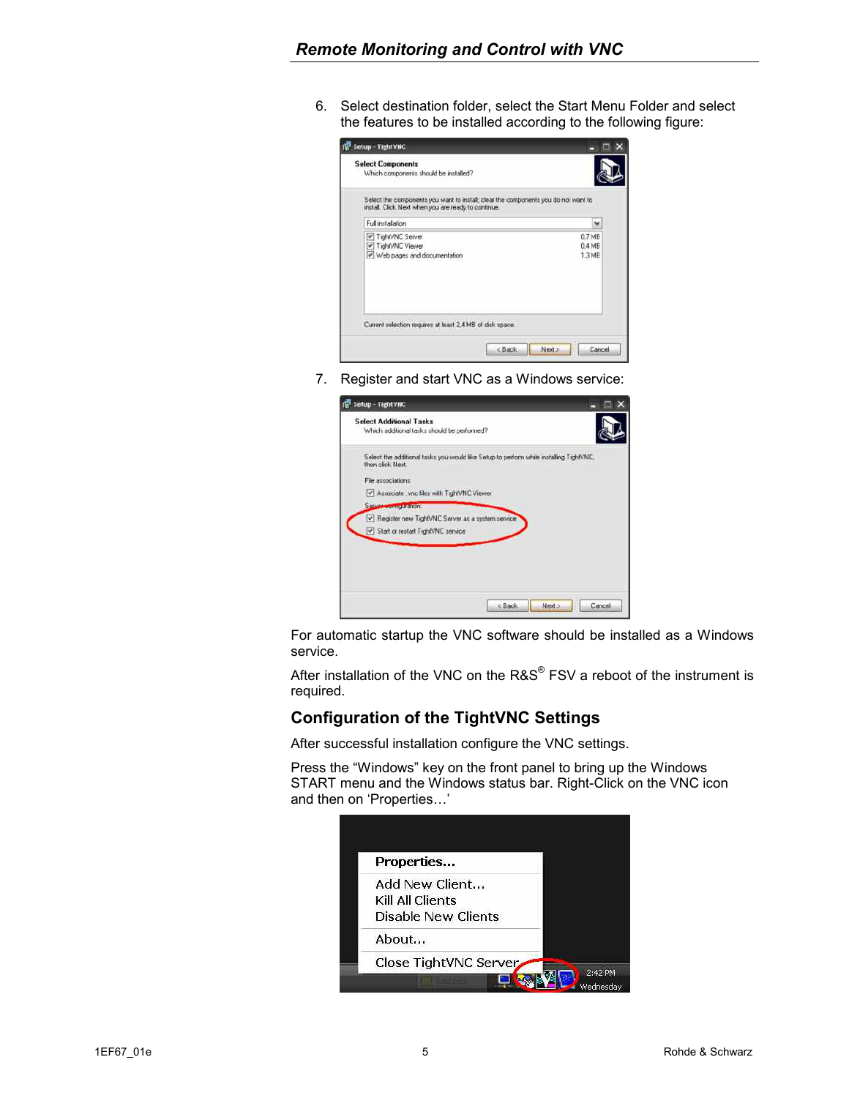6. Select destination folder, select the Start Menu Folder and select the features to be installed according to the following figure:

| <b>Select Components</b><br>Which components should be installed?                                                                         |                  |
|-------------------------------------------------------------------------------------------------------------------------------------------|------------------|
| Select the components you want to install; clear the components you do not want to<br>install. Click Next when you are ready to continue. |                  |
| Full installation                                                                                                                         | $\ddot{}$        |
| TightVNC Server<br>TightVNC Viewer                                                                                                        | 0.7 MB<br>0.4 MB |
| Web pages and documentation                                                                                                               | 1.3MB            |
|                                                                                                                                           |                  |
| Current selection requires at least 2.4 MB of disk space.                                                                                 |                  |

7. Register and start VNC as a Windows service:

| Setup - TightVNC                                                                                           |        |
|------------------------------------------------------------------------------------------------------------|--------|
| <b>Select Additional Tasks</b><br>Which additional tasks should be performed?                              |        |
| Select the additional tasks you would like Setup to perform while installing TightVNC.<br>then click Next. |        |
| File associations:                                                                                         |        |
| Associate vnc files with TightVNC Viewer                                                                   |        |
| Service Countries Millions                                                                                 |        |
| Plegister new TightVNC Server as a system service                                                          |        |
| Start or restart TightVNC service                                                                          |        |
|                                                                                                            |        |
|                                                                                                            |        |
|                                                                                                            |        |
| <back<br>Next &gt;</back<br>                                                                               | Cancel |

For automatic startup the VNC software should be installed as a Windows service.

After installation of the VNC on the  $RAS^{\circledast}$  FSV a reboot of the instrument is required.

#### **Configuration of the TightVNC Settings**

After successful installation configure the VNC settings.

Press the "Windows" key on the front panel to bring up the Windows START menu and the Windows status bar. Right-Click on the VNC icon and then on 'Properties…'

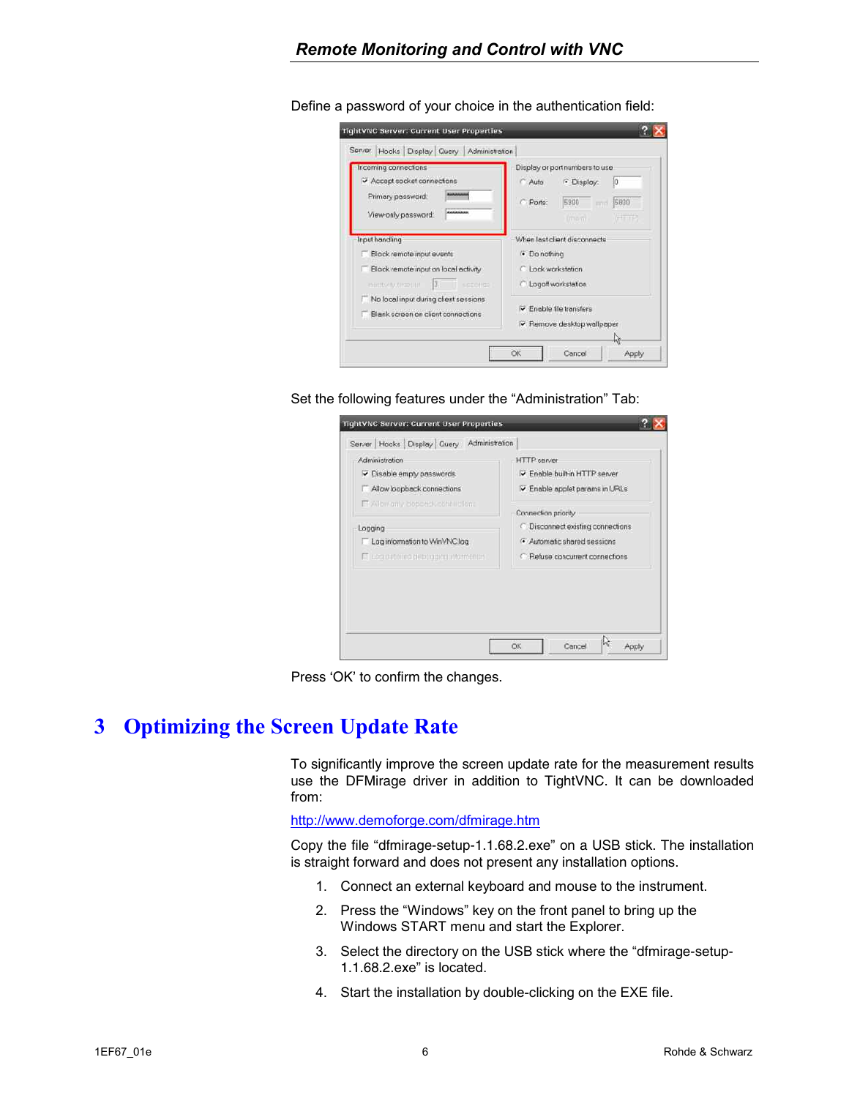| Incoming connections                            | Display or port numbers to use                                      |  |  |  |
|-------------------------------------------------|---------------------------------------------------------------------|--|--|--|
| Accept socket connections                       | · Display:<br>n<br>Auto                                             |  |  |  |
| Primary password.                               | 5990<br>5800<br>C Ports:<br>中国                                      |  |  |  |
| AWANAWAW<br>View-only password:                 | <b>Common</b><br>man).                                              |  |  |  |
| Input handling                                  | When last client disconnects                                        |  |  |  |
| Block remote input events                       | · Do nothing<br>C. Lock workstation                                 |  |  |  |
| Block remote input on local activity            |                                                                     |  |  |  |
| 3.7<br>SEDDITIE<br><b>INTERNATIONAL CONTROL</b> | C: Logoff workstation                                               |  |  |  |
| No local input during client sessions           |                                                                     |  |  |  |
| Blank screen on client connections              | $\triangledown$ Enable file transfers<br>P Remove desktop wallpaper |  |  |  |

<span id="page-5-0"></span>Define a password of your choice in the authentication field:

Set the following features under the "Administration" Tab:



Press 'OK' to confirm the changes.

#### **3 Optimizing the Screen Update Rate**

To significantly improve the screen update rate for the measurement results use the DFMirage driver in addition to TightVNC. It can be downloaded from:

<http://www.demoforge.com/dfmirage.htm>

Copy the file "dfmirage-setup-1.1.68.2.exe" on a USB stick. The installation is straight forward and does not present any installation options.

- 1. Connect an external keyboard and mouse to the instrument.
- 2. Press the "Windows" key on the front panel to bring up the Windows START menu and start the Explorer.
- 3. Select the directory on the USB stick where the "dfmirage-setup-1.1.68.2.exe" is located.
- 4. Start the installation by double-clicking on the EXE file.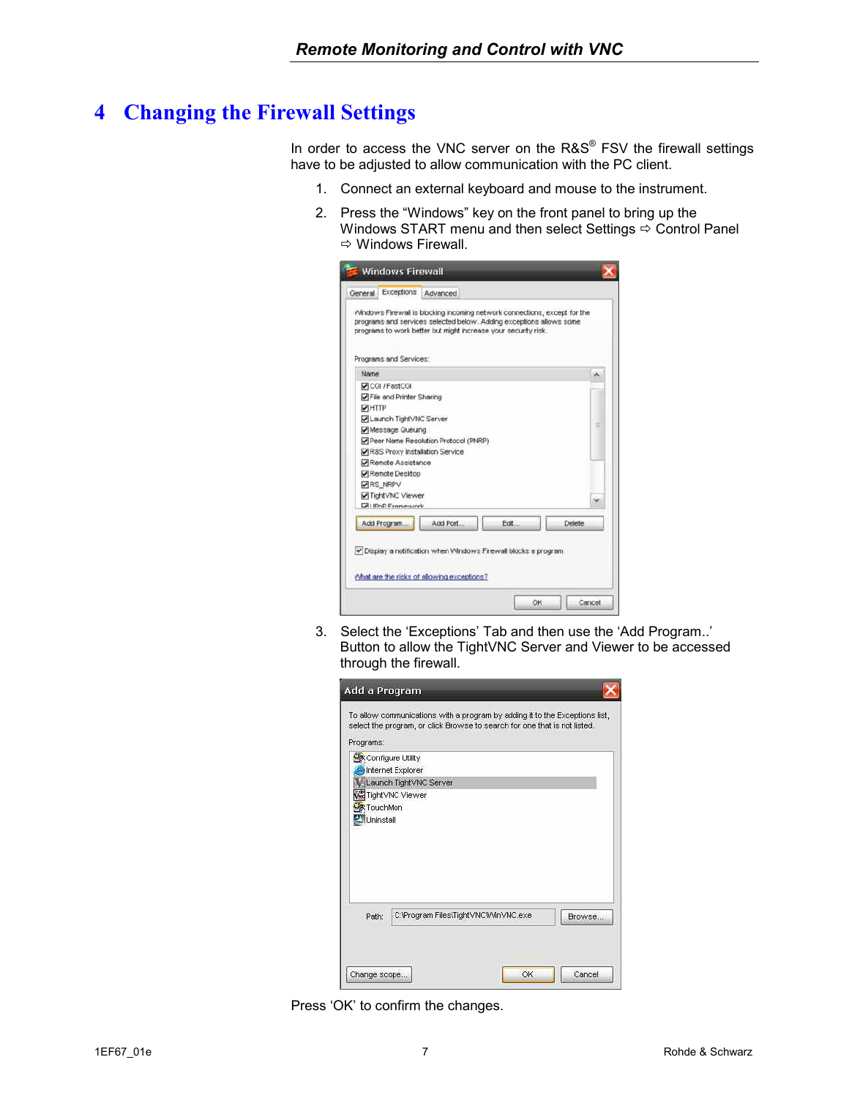### <span id="page-6-0"></span>**4 Changing the Firewall Settings**

In order to access the VNC server on the R&S® FSV the firewall settings have to be adjusted to allow communication with the PC client.

- 1. Connect an external keyboard and mouse to the instrument.
- 2. Press the "Windows" key on the front panel to bring up the Windows START menu and then select Settings  $\Rightarrow$  Control Panel  $\Leftrightarrow$  Windows Firewall.

| Exceptions<br>General          | Advanced                                                                                                                                                                                                           |       |               |
|--------------------------------|--------------------------------------------------------------------------------------------------------------------------------------------------------------------------------------------------------------------|-------|---------------|
| Programs and Services:         | Windows Firewall is blocking incoming network connections, except for the<br>programs and services selected below. Adding exceptions allows some<br>programs to work better but might increase your security risk. |       |               |
| Name                           |                                                                                                                                                                                                                    |       |               |
| CGI / FastCGI                  |                                                                                                                                                                                                                    |       |               |
| File and Printer Sharing       |                                                                                                                                                                                                                    |       |               |
| <b>VIHTTP</b>                  |                                                                                                                                                                                                                    |       |               |
| Launch TightVNC Server         |                                                                                                                                                                                                                    |       |               |
| Message Queuing                |                                                                                                                                                                                                                    |       |               |
|                                | Peer Name Resolution Protocol (PNRP)                                                                                                                                                                               |       |               |
| R8S Proxy Installation Service |                                                                                                                                                                                                                    |       |               |
| Remote Assistance              |                                                                                                                                                                                                                    |       |               |
| Remote Desktop                 |                                                                                                                                                                                                                    |       |               |
| <b>VIRS NRPV</b>               |                                                                                                                                                                                                                    |       |               |
| TightVNC Viewer                |                                                                                                                                                                                                                    |       |               |
| UI IDnD Framework              |                                                                                                                                                                                                                    |       |               |
| Add Program.                   | Add Port                                                                                                                                                                                                           | Edit. | <b>Delete</b> |
|                                |                                                                                                                                                                                                                    |       |               |
|                                | V Display a notification when Windows Firewall blocks a program.                                                                                                                                                   |       |               |
|                                |                                                                                                                                                                                                                    |       |               |
|                                |                                                                                                                                                                                                                    |       |               |
|                                | What are the risks of allowing exceptions?                                                                                                                                                                         |       |               |
|                                |                                                                                                                                                                                                                    |       |               |
|                                |                                                                                                                                                                                                                    |       |               |

3. Select the 'Exceptions' Tab and then use the 'Add Program..' Button to allow the TightVNC Server and Viewer to be accessed through the firewall.

| Programs:                              |                                      |  | To allow communications with a program by adding it to the Exceptions list,<br>select the program, or click Browse to search for one that is not listed. |  |
|----------------------------------------|--------------------------------------|--|----------------------------------------------------------------------------------------------------------------------------------------------------------|--|
| Configure Utility                      |                                      |  |                                                                                                                                                          |  |
|                                        | Internet Explorer                    |  |                                                                                                                                                          |  |
|                                        | Launch TightVNC Server               |  |                                                                                                                                                          |  |
| <b>We</b> Tight VNC Viewer<br>TouchMon |                                      |  |                                                                                                                                                          |  |
| Uninstall                              |                                      |  |                                                                                                                                                          |  |
|                                        |                                      |  |                                                                                                                                                          |  |
|                                        |                                      |  |                                                                                                                                                          |  |
|                                        |                                      |  |                                                                                                                                                          |  |
|                                        |                                      |  |                                                                                                                                                          |  |
|                                        |                                      |  |                                                                                                                                                          |  |
| Path:                                  | C: Program Files\TightVNC\WinVNC.exe |  | Browse                                                                                                                                                   |  |
|                                        |                                      |  |                                                                                                                                                          |  |
|                                        |                                      |  |                                                                                                                                                          |  |
|                                        |                                      |  |                                                                                                                                                          |  |

Press 'OK' to confirm the changes.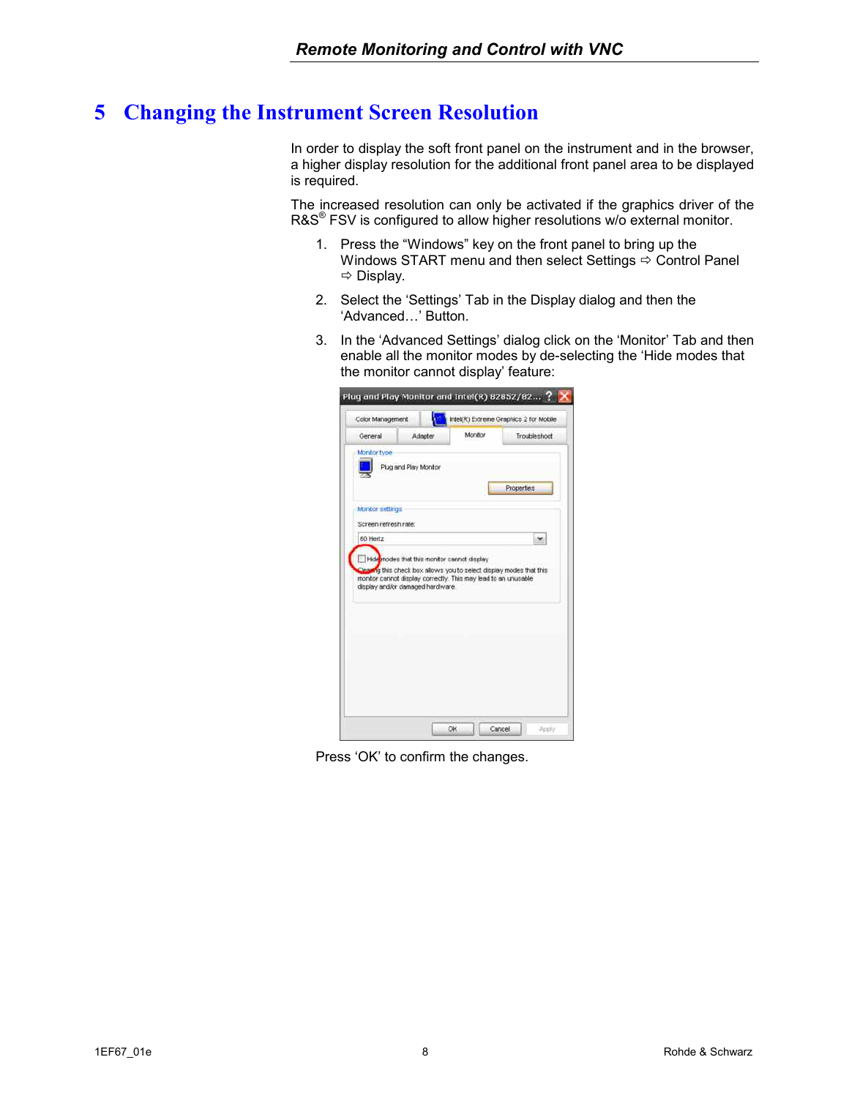#### <span id="page-7-0"></span>**5 Changing the Instrument Screen Resolution**

In order to display the soft front panel on the instrument and in the browser, a higher display resolution for the additional front panel area to be displayed is required.

The increased resolution can only be activated if the graphics driver of the R&S<sup>®</sup> FSV is configured to allow higher resolutions w/o external monitor.

- 1. Press the "Windows" key on the front panel to bring up the Windows START menu and then select Settings  $\Rightarrow$  Control Panel  $\Rightarrow$  Display.
- 2. Select the 'Settings' Tab in the Display dialog and then the 'Advanced…' Button.
- 3. In the 'Advanced Settings' dialog click on the 'Monitor' Tab and then enable all the monitor modes by de-selecting the 'Hide modes that the monitor cannot display' feature:



Press 'OK' to confirm the changes.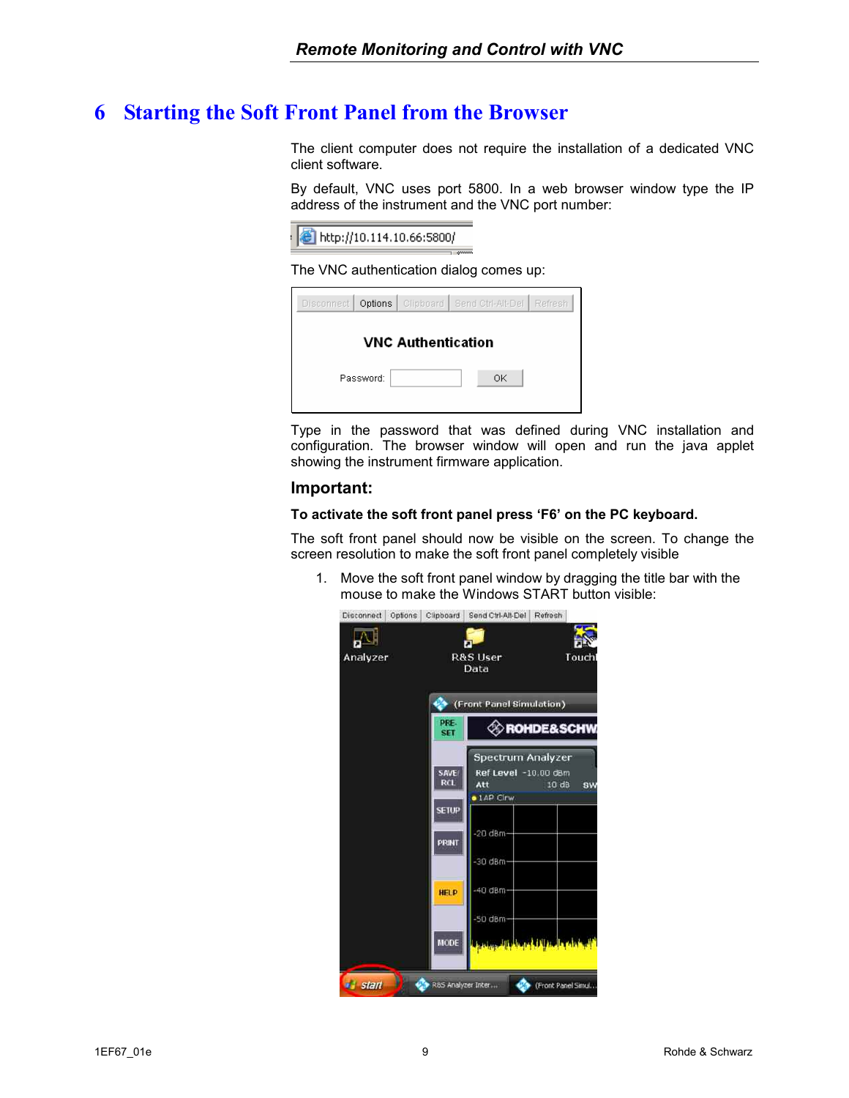#### <span id="page-8-0"></span>**6 Starting the Soft Front Panel from the Browser**

The client computer does not require the installation of a dedicated VNC client software.

By default, VNC uses port 5800. In a web browser window type the IP address of the instrument and the VNC port number:



The VNC authentication dialog comes up:

|           |                           | Disconnect   Options   Clipboard   Send Ctrl-Alt-Del   Refresh |  |
|-----------|---------------------------|----------------------------------------------------------------|--|
|           |                           |                                                                |  |
|           | <b>VNC Authentication</b> |                                                                |  |
| Password: |                           | ΟK                                                             |  |

Type in the password that was defined during VNC installation and configuration. The browser window will open and run the java applet showing the instrument firmware application.

#### **Important:**

#### **To activate the soft front panel press 'F6' on the PC keyboard.**

The soft front panel should now be visible on the screen. To change the screen resolution to make the soft front panel completely visible

1. Move the soft front panel window by dragging the title bar with the mouse to make the Windows START button visible:

|          |                                         | Disconnect Options Clipboard Send Ctrl-Alt-Del Refresh                |                                |
|----------|-----------------------------------------|-----------------------------------------------------------------------|--------------------------------|
| Analyzer |                                         | <b>R&amp;S User</b><br>Data                                           | Touch                          |
|          | PRE-                                    | (Front Panel Simulation)                                              | <b>ROHDE&amp;SCHW</b>          |
|          | <b>SET</b><br><b>SAVE</b><br><b>RCL</b> | Spectrum Analyzer<br>Ref Level -10.00 dBm<br>Att<br><b>.</b> 1AP Cirw | 10 dB<br>SW                    |
|          | <b>SETUP</b><br>PRINT                   | $-20$ dBm-<br>$-30$ dBm                                               |                                |
|          | <b>HELP</b>                             | -40 dBm-<br>-50 dBm                                                   |                                |
|          | MODE                                    |                                                                       | فللعراء واللغاء فسنلط الأمريون |
| a start  |                                         | R&S Analyzer Inter                                                    | (Front Panel Simul             |